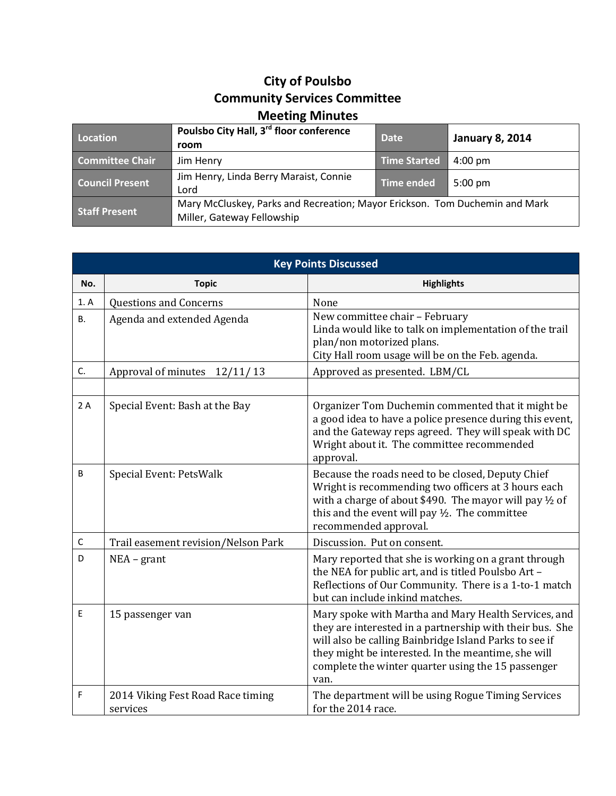## **City of Poulsbo Community Services Committee Meeting Minutes**

| Location               | Poulsbo City Hall, 3 <sup>rd</sup> floor conference<br>room                                               | <b>Date</b>       | <b>January 8, 2014</b> |
|------------------------|-----------------------------------------------------------------------------------------------------------|-------------------|------------------------|
| <b>Committee Chair</b> | Jim Henry                                                                                                 | Time Started      | $4:00 \text{ pm}$      |
| <b>Council Present</b> | Jim Henry, Linda Berry Maraist, Connie<br>Lord                                                            | <b>Time ended</b> | $5:00 \text{ pm}$      |
| <b>Staff Present</b>   | Mary McCluskey, Parks and Recreation; Mayor Erickson. Tom Duchemin and Mark<br>Miller, Gateway Fellowship |                   |                        |

| <b>Key Points Discussed</b> |                                               |                                                                                                                                                                                                                                                                                                 |  |
|-----------------------------|-----------------------------------------------|-------------------------------------------------------------------------------------------------------------------------------------------------------------------------------------------------------------------------------------------------------------------------------------------------|--|
| No.                         | <b>Topic</b>                                  | <b>Highlights</b>                                                                                                                                                                                                                                                                               |  |
| 1. A                        | <b>Questions and Concerns</b>                 | None                                                                                                                                                                                                                                                                                            |  |
| <b>B.</b>                   | Agenda and extended Agenda                    | New committee chair - February<br>Linda would like to talk on implementation of the trail<br>plan/non motorized plans.<br>City Hall room usage will be on the Feb. agenda.                                                                                                                      |  |
| C.                          | Approval of minutes 12/11/13                  | Approved as presented. LBM/CL                                                                                                                                                                                                                                                                   |  |
|                             |                                               |                                                                                                                                                                                                                                                                                                 |  |
| 2A                          | Special Event: Bash at the Bay                | Organizer Tom Duchemin commented that it might be<br>a good idea to have a police presence during this event,<br>and the Gateway reps agreed. They will speak with DC<br>Wright about it. The committee recommended<br>approval.                                                                |  |
| B                           | Special Event: PetsWalk                       | Because the roads need to be closed, Deputy Chief<br>Wright is recommending two officers at 3 hours each<br>with a charge of about \$490. The mayor will pay $\frac{1}{2}$ of<br>this and the event will pay 1/2. The committee<br>recommended approval.                                        |  |
| $\mathsf C$                 | Trail easement revision/Nelson Park           | Discussion. Put on consent.                                                                                                                                                                                                                                                                     |  |
| D                           | $NEA - grant$                                 | Mary reported that she is working on a grant through<br>the NEA for public art, and is titled Poulsbo Art -<br>Reflections of Our Community. There is a 1-to-1 match<br>but can include inkind matches.                                                                                         |  |
| E                           | 15 passenger van                              | Mary spoke with Martha and Mary Health Services, and<br>they are interested in a partnership with their bus. She<br>will also be calling Bainbridge Island Parks to see if<br>they might be interested. In the meantime, she will<br>complete the winter quarter using the 15 passenger<br>van. |  |
| F                           | 2014 Viking Fest Road Race timing<br>services | The department will be using Rogue Timing Services<br>for the 2014 race.                                                                                                                                                                                                                        |  |